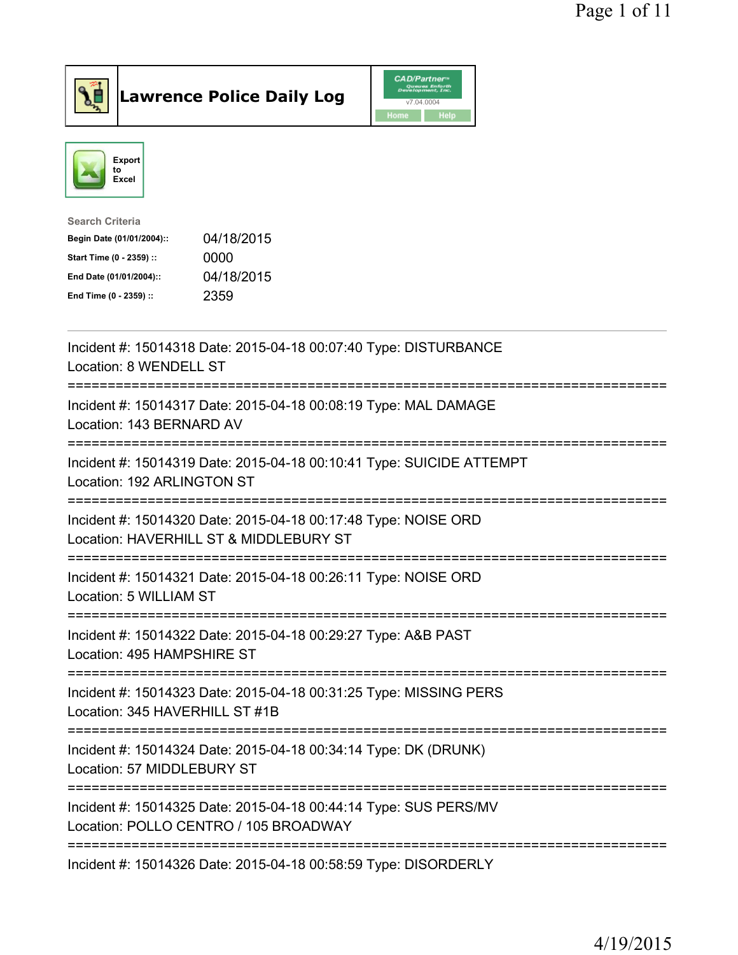

Lawrence Police Daily Log CAD/Partner



| <b>Search Criteria</b>    |            |
|---------------------------|------------|
| Begin Date (01/01/2004):: | 04/18/2015 |
| Start Time (0 - 2359) ::  | 0000       |
| End Date (01/01/2004)::   | 04/18/2015 |
| End Time (0 - 2359) ::    | 2359       |

| Incident #: 15014318 Date: 2015-04-18 00:07:40 Type: DISTURBANCE<br>Location: 8 WENDELL ST                                          |
|-------------------------------------------------------------------------------------------------------------------------------------|
| Incident #: 15014317 Date: 2015-04-18 00:08:19 Type: MAL DAMAGE<br>Location: 143 BERNARD AV                                         |
| Incident #: 15014319 Date: 2015-04-18 00:10:41 Type: SUICIDE ATTEMPT<br>Location: 192 ARLINGTON ST<br>---------------               |
| Incident #: 15014320 Date: 2015-04-18 00:17:48 Type: NOISE ORD<br>Location: HAVERHILL ST & MIDDLEBURY ST<br>----------------------- |
| Incident #: 15014321 Date: 2015-04-18 00:26:11 Type: NOISE ORD<br>Location: 5 WILLIAM ST<br>--------------------                    |
| Incident #: 15014322 Date: 2015-04-18 00:29:27 Type: A&B PAST<br>Location: 495 HAMPSHIRE ST                                         |
| Incident #: 15014323 Date: 2015-04-18 00:31:25 Type: MISSING PERS<br>Location: 345 HAVERHILL ST #1B                                 |
| Incident #: 15014324 Date: 2015-04-18 00:34:14 Type: DK (DRUNK)<br>Location: 57 MIDDLEBURY ST<br>====================               |
| Incident #: 15014325 Date: 2015-04-18 00:44:14 Type: SUS PERS/MV<br>Location: POLLO CENTRO / 105 BROADWAY                           |
| Incident #: 15014326 Date: 2015-04-18 00:58:59 Type: DISORDERLY                                                                     |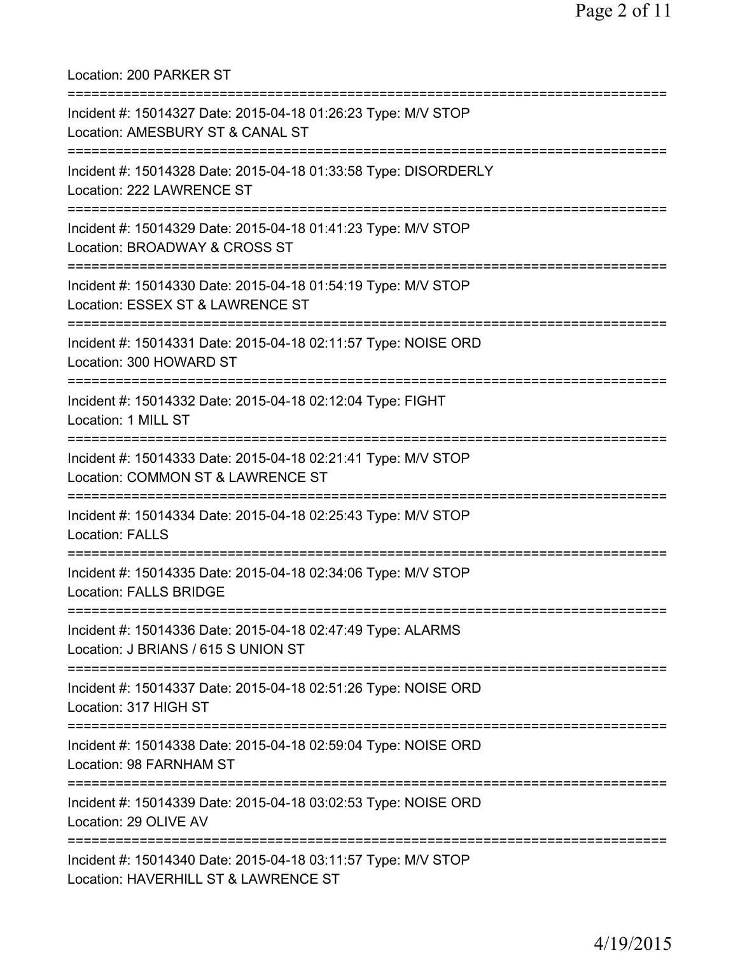Location: 200 PARKER ST =========================================================================== Incident #: 15014327 Date: 2015-04-18 01:26:23 Type: M/V STOP Location: AMESBURY ST & CANAL ST =========================================================================== Incident #: 15014328 Date: 2015-04-18 01:33:58 Type: DISORDERLY Location: 222 LAWRENCE ST =========================================================================== Incident #: 15014329 Date: 2015-04-18 01:41:23 Type: M/V STOP Location: BROADWAY & CROSS ST =========================================================================== Incident #: 15014330 Date: 2015-04-18 01:54:19 Type: M/V STOP Location: ESSEX ST & LAWRENCE ST =========================================================================== Incident #: 15014331 Date: 2015-04-18 02:11:57 Type: NOISE ORD Location: 300 HOWARD ST =========================================================================== Incident #: 15014332 Date: 2015-04-18 02:12:04 Type: FIGHT Location: 1 MILL ST =========================================================================== Incident #: 15014333 Date: 2015-04-18 02:21:41 Type: M/V STOP Location: COMMON ST & LAWRENCE ST =========================================================================== Incident #: 15014334 Date: 2015-04-18 02:25:43 Type: M/V STOP Location: FALLS =========================================================================== Incident #: 15014335 Date: 2015-04-18 02:34:06 Type: M/V STOP Location: FALLS BRIDGE =========================================================================== Incident #: 15014336 Date: 2015-04-18 02:47:49 Type: ALARMS Location: J BRIANS / 615 S UNION ST =========================================================================== Incident #: 15014337 Date: 2015-04-18 02:51:26 Type: NOISE ORD Location: 317 HIGH ST =========================================================================== Incident #: 15014338 Date: 2015-04-18 02:59:04 Type: NOISE ORD Location: 98 FARNHAM ST =========================================================================== Incident #: 15014339 Date: 2015-04-18 03:02:53 Type: NOISE ORD Location: 29 OLIVE AV =========================================================================== Incident #: 15014340 Date: 2015-04-18 03:11:57 Type: M/V STOP Location: HAVERHILL ST & LAWRENCE ST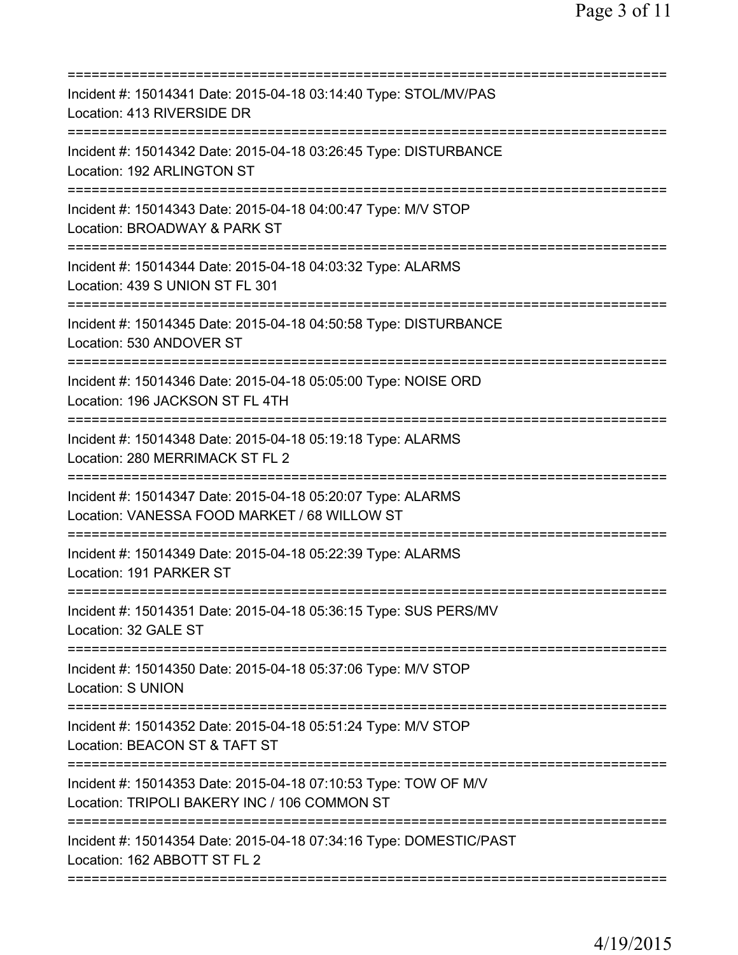| =========================                                                                                       |
|-----------------------------------------------------------------------------------------------------------------|
| Incident #: 15014341 Date: 2015-04-18 03:14:40 Type: STOL/MV/PAS<br>Location: 413 RIVERSIDE DR                  |
| Incident #: 15014342 Date: 2015-04-18 03:26:45 Type: DISTURBANCE<br>Location: 192 ARLINGTON ST                  |
| Incident #: 15014343 Date: 2015-04-18 04:00:47 Type: M/V STOP<br>Location: BROADWAY & PARK ST                   |
| Incident #: 15014344 Date: 2015-04-18 04:03:32 Type: ALARMS<br>Location: 439 S UNION ST FL 301                  |
| Incident #: 15014345 Date: 2015-04-18 04:50:58 Type: DISTURBANCE<br>Location: 530 ANDOVER ST                    |
| Incident #: 15014346 Date: 2015-04-18 05:05:00 Type: NOISE ORD<br>Location: 196 JACKSON ST FL 4TH               |
| Incident #: 15014348 Date: 2015-04-18 05:19:18 Type: ALARMS<br>Location: 280 MERRIMACK ST FL 2                  |
| Incident #: 15014347 Date: 2015-04-18 05:20:07 Type: ALARMS<br>Location: VANESSA FOOD MARKET / 68 WILLOW ST     |
| Incident #: 15014349 Date: 2015-04-18 05:22:39 Type: ALARMS<br>Location: 191 PARKER ST                          |
| Incident #: 15014351 Date: 2015-04-18 05:36:15 Type: SUS PERS/MV<br>Location: 32 GALE ST                        |
| Incident #: 15014350 Date: 2015-04-18 05:37:06 Type: M/V STOP<br><b>Location: S UNION</b>                       |
| Incident #: 15014352 Date: 2015-04-18 05:51:24 Type: M/V STOP<br>Location: BEACON ST & TAFT ST                  |
| Incident #: 15014353 Date: 2015-04-18 07:10:53 Type: TOW OF M/V<br>Location: TRIPOLI BAKERY INC / 106 COMMON ST |
| Incident #: 15014354 Date: 2015-04-18 07:34:16 Type: DOMESTIC/PAST<br>Location: 162 ABBOTT ST FL 2              |
|                                                                                                                 |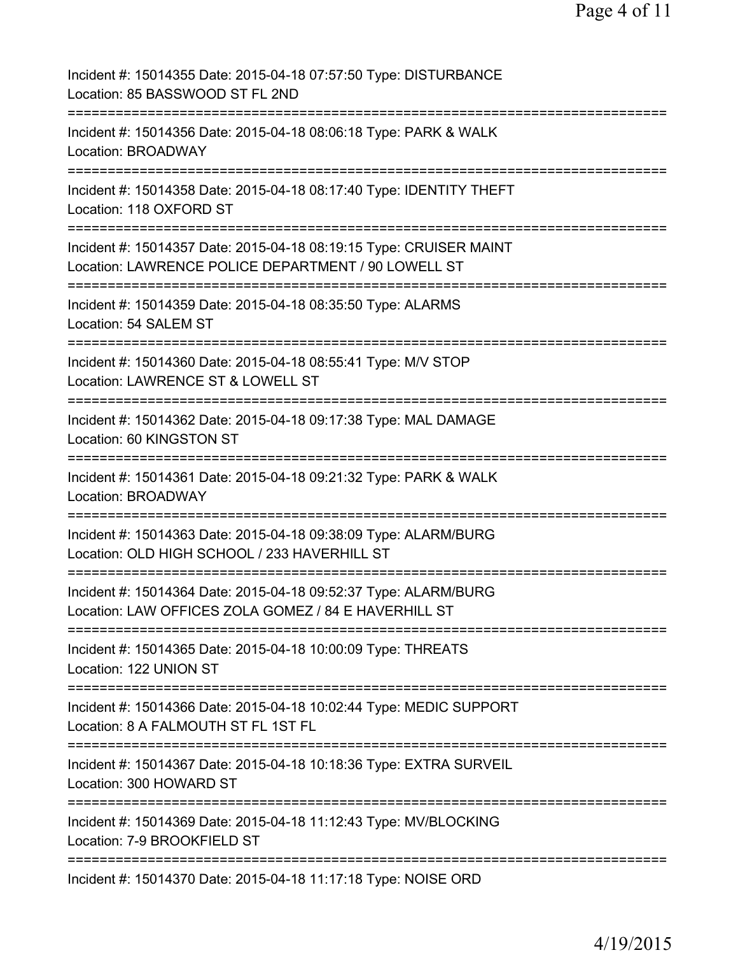| Incident #: 15014355 Date: 2015-04-18 07:57:50 Type: DISTURBANCE<br>Location: 85 BASSWOOD ST FL 2ND                               |
|-----------------------------------------------------------------------------------------------------------------------------------|
| Incident #: 15014356 Date: 2015-04-18 08:06:18 Type: PARK & WALK<br>Location: BROADWAY                                            |
| Incident #: 15014358 Date: 2015-04-18 08:17:40 Type: IDENTITY THEFT<br>Location: 118 OXFORD ST                                    |
| Incident #: 15014357 Date: 2015-04-18 08:19:15 Type: CRUISER MAINT<br>Location: LAWRENCE POLICE DEPARTMENT / 90 LOWELL ST         |
| Incident #: 15014359 Date: 2015-04-18 08:35:50 Type: ALARMS<br>Location: 54 SALEM ST<br>===========================               |
| Incident #: 15014360 Date: 2015-04-18 08:55:41 Type: M/V STOP<br>Location: LAWRENCE ST & LOWELL ST<br>============                |
| Incident #: 15014362 Date: 2015-04-18 09:17:38 Type: MAL DAMAGE<br>Location: 60 KINGSTON ST<br>================================== |
| Incident #: 15014361 Date: 2015-04-18 09:21:32 Type: PARK & WALK<br><b>Location: BROADWAY</b><br>:===================             |
| Incident #: 15014363 Date: 2015-04-18 09:38:09 Type: ALARM/BURG<br>Location: OLD HIGH SCHOOL / 233 HAVERHILL ST                   |
| Incident #: 15014364 Date: 2015-04-18 09:52:37 Type: ALARM/BURG<br>Location: LAW OFFICES ZOLA GOMEZ / 84 E HAVERHILL ST           |
| Incident #: 15014365 Date: 2015-04-18 10:00:09 Type: THREATS<br>Location: 122 UNION ST                                            |
| Incident #: 15014366 Date: 2015-04-18 10:02:44 Type: MEDIC SUPPORT<br>Location: 8 A FALMOUTH ST FL 1ST FL                         |
| Incident #: 15014367 Date: 2015-04-18 10:18:36 Type: EXTRA SURVEIL<br>Location: 300 HOWARD ST                                     |
| Incident #: 15014369 Date: 2015-04-18 11:12:43 Type: MV/BLOCKING<br>Location: 7-9 BROOKFIELD ST                                   |
| Incident #: 15014370 Date: 2015-04-18 11:17:18 Type: NOISE ORD                                                                    |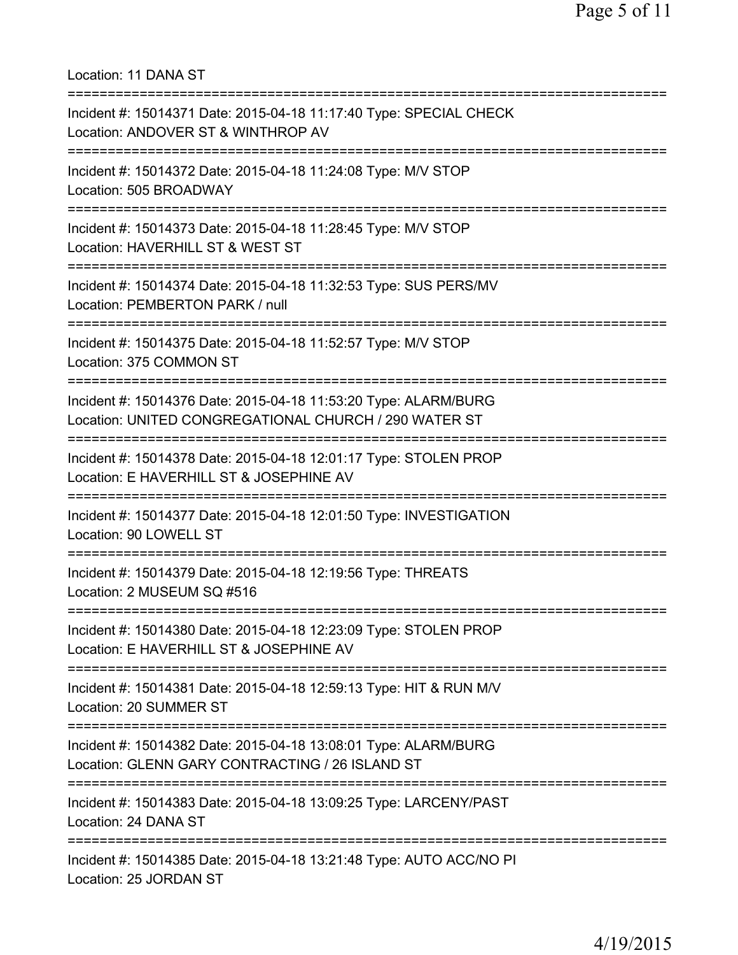=========================================================================== Incident #: 15014371 Date: 2015-04-18 11:17:40 Type: SPECIAL CHECK Location: ANDOVER ST & WINTHROP AV =========================================================================== Incident #: 15014372 Date: 2015-04-18 11:24:08 Type: M/V STOP Location: 505 BROADWAY =========================================================================== Incident #: 15014373 Date: 2015-04-18 11:28:45 Type: M/V STOP Location: HAVERHILL ST & WEST ST =========================================================================== Incident #: 15014374 Date: 2015-04-18 11:32:53 Type: SUS PERS/MV Location: PEMBERTON PARK / null =========================================================================== Incident #: 15014375 Date: 2015-04-18 11:52:57 Type: M/V STOP Location: 375 COMMON ST =========================================================================== Incident #: 15014376 Date: 2015-04-18 11:53:20 Type: ALARM/BURG Location: UNITED CONGREGATIONAL CHURCH / 290 WATER ST =========================================================================== Incident #: 15014378 Date: 2015-04-18 12:01:17 Type: STOLEN PROP Location: E HAVERHILL ST & JOSEPHINE AV =========================================================================== Incident #: 15014377 Date: 2015-04-18 12:01:50 Type: INVESTIGATION Location: 90 LOWELL ST =========================================================================== Incident #: 15014379 Date: 2015-04-18 12:19:56 Type: THREATS Location: 2 MUSEUM SQ #516 =========================================================================== Incident #: 15014380 Date: 2015-04-18 12:23:09 Type: STOLEN PROP Location: E HAVERHILL ST & JOSEPHINE AV =========================================================================== Incident #: 15014381 Date: 2015-04-18 12:59:13 Type: HIT & RUN M/V Location: 20 SUMMER ST =========================================================================== Incident #: 15014382 Date: 2015-04-18 13:08:01 Type: ALARM/BURG Location: GLENN GARY CONTRACTING / 26 ISLAND ST =========================================================================== Incident #: 15014383 Date: 2015-04-18 13:09:25 Type: LARCENY/PAST Location: 24 DANA ST =========================================================================== Incident #: 15014385 Date: 2015-04-18 13:21:48 Type: AUTO ACC/NO PI Location: 25 JORDAN ST

Location: 11 DANA ST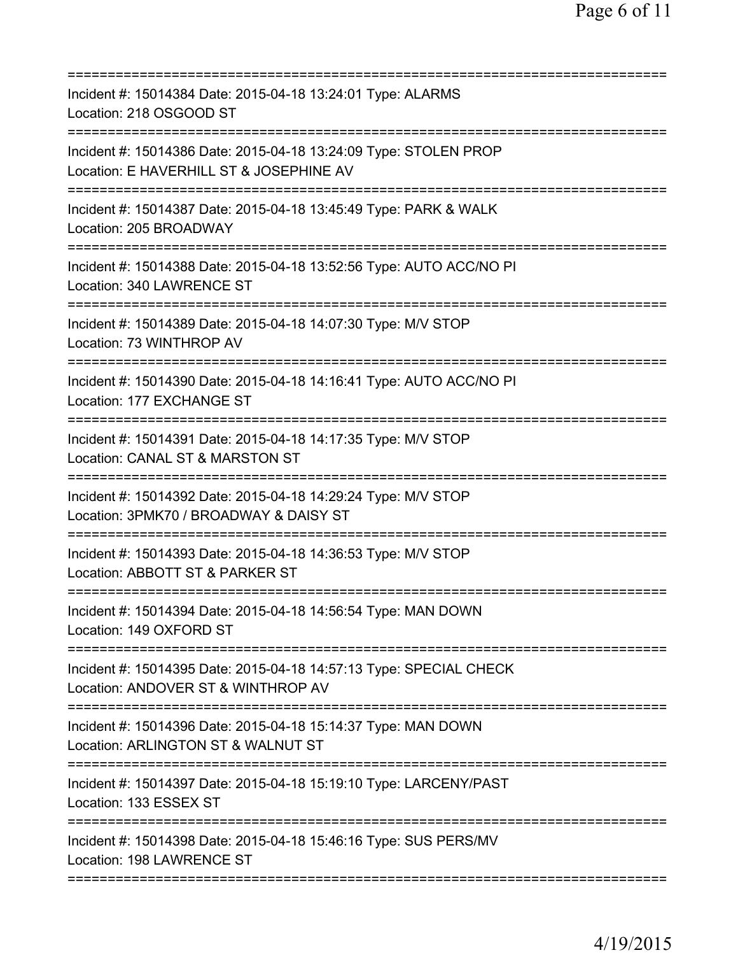| Incident #: 15014384 Date: 2015-04-18 13:24:01 Type: ALARMS<br>Location: 218 OSGOOD ST                                                |
|---------------------------------------------------------------------------------------------------------------------------------------|
| Incident #: 15014386 Date: 2015-04-18 13:24:09 Type: STOLEN PROP<br>Location: E HAVERHILL ST & JOSEPHINE AV                           |
| Incident #: 15014387 Date: 2015-04-18 13:45:49 Type: PARK & WALK<br>Location: 205 BROADWAY                                            |
| Incident #: 15014388 Date: 2015-04-18 13:52:56 Type: AUTO ACC/NO PI<br>Location: 340 LAWRENCE ST                                      |
| Incident #: 15014389 Date: 2015-04-18 14:07:30 Type: M/V STOP<br>Location: 73 WINTHROP AV                                             |
| Incident #: 15014390 Date: 2015-04-18 14:16:41 Type: AUTO ACC/NO PI<br>Location: 177 EXCHANGE ST                                      |
| Incident #: 15014391 Date: 2015-04-18 14:17:35 Type: M/V STOP<br>Location: CANAL ST & MARSTON ST                                      |
| Incident #: 15014392 Date: 2015-04-18 14:29:24 Type: M/V STOP<br>Location: 3PMK70 / BROADWAY & DAISY ST<br>:========================= |
| Incident #: 15014393 Date: 2015-04-18 14:36:53 Type: M/V STOP<br>Location: ABBOTT ST & PARKER ST                                      |
| Incident #: 15014394 Date: 2015-04-18 14:56:54 Type: MAN DOWN<br>Location: 149 OXFORD ST                                              |
| Incident #: 15014395 Date: 2015-04-18 14:57:13 Type: SPECIAL CHECK<br>Location: ANDOVER ST & WINTHROP AV                              |
| Incident #: 15014396 Date: 2015-04-18 15:14:37 Type: MAN DOWN<br>Location: ARLINGTON ST & WALNUT ST                                   |
| Incident #: 15014397 Date: 2015-04-18 15:19:10 Type: LARCENY/PAST<br>Location: 133 ESSEX ST                                           |
| Incident #: 15014398 Date: 2015-04-18 15:46:16 Type: SUS PERS/MV<br>Location: 198 LAWRENCE ST                                         |
|                                                                                                                                       |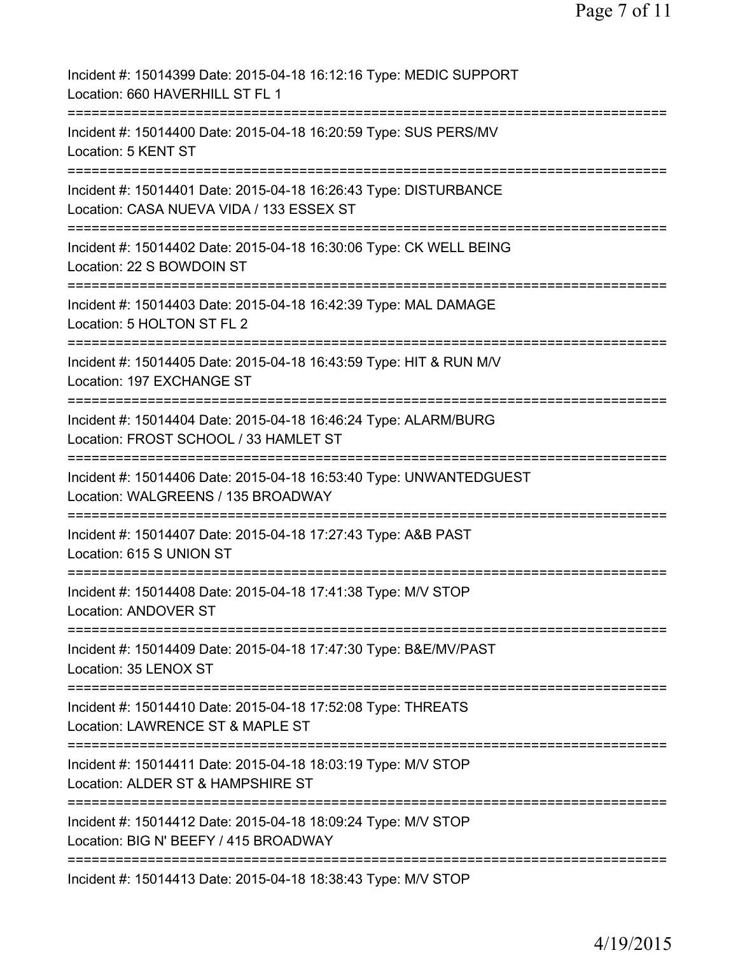| Incident #: 15014399 Date: 2015-04-18 16:12:16 Type: MEDIC SUPPORT<br>Location: 660 HAVERHILL ST FL 1                                                   |
|---------------------------------------------------------------------------------------------------------------------------------------------------------|
| Incident #: 15014400 Date: 2015-04-18 16:20:59 Type: SUS PERS/MV<br>Location: 5 KENT ST                                                                 |
| Incident #: 15014401 Date: 2015-04-18 16:26:43 Type: DISTURBANCE<br>Location: CASA NUEVA VIDA / 133 ESSEX ST                                            |
| Incident #: 15014402 Date: 2015-04-18 16:30:06 Type: CK WELL BEING<br>Location: 22 S BOWDOIN ST                                                         |
| Incident #: 15014403 Date: 2015-04-18 16:42:39 Type: MAL DAMAGE<br>Location: 5 HOLTON ST FL 2                                                           |
| Incident #: 15014405 Date: 2015-04-18 16:43:59 Type: HIT & RUN M/V<br>Location: 197 EXCHANGE ST<br>----------                                           |
| Incident #: 15014404 Date: 2015-04-18 16:46:24 Type: ALARM/BURG<br>Location: FROST SCHOOL / 33 HAMLET ST                                                |
| Incident #: 15014406 Date: 2015-04-18 16:53:40 Type: UNWANTEDGUEST<br>Location: WALGREENS / 135 BROADWAY                                                |
| Incident #: 15014407 Date: 2015-04-18 17:27:43 Type: A&B PAST<br>Location: 615 S UNION ST                                                               |
| ================<br>Incident #: 15014408 Date: 2015-04-18 17:41:38 Type: M/V STOP<br><b>Location: ANDOVER ST</b>                                        |
| =================================<br>=====================<br>Incident #: 15014409 Date: 2015-04-18 17:47:30 Type: B&E/MV/PAST<br>Location: 35 LENOX ST |
| --------------------------------<br>Incident #: 15014410 Date: 2015-04-18 17:52:08 Type: THREATS<br>Location: LAWRENCE ST & MAPLE ST                    |
| Incident #: 15014411 Date: 2015-04-18 18:03:19 Type: M/V STOP<br>Location: ALDER ST & HAMPSHIRE ST                                                      |
| Incident #: 15014412 Date: 2015-04-18 18:09:24 Type: M/V STOP<br>Location: BIG N' BEEFY / 415 BROADWAY                                                  |
| Incident #: 15014413 Date: 2015-04-18 18:38:43 Type: M/V STOP                                                                                           |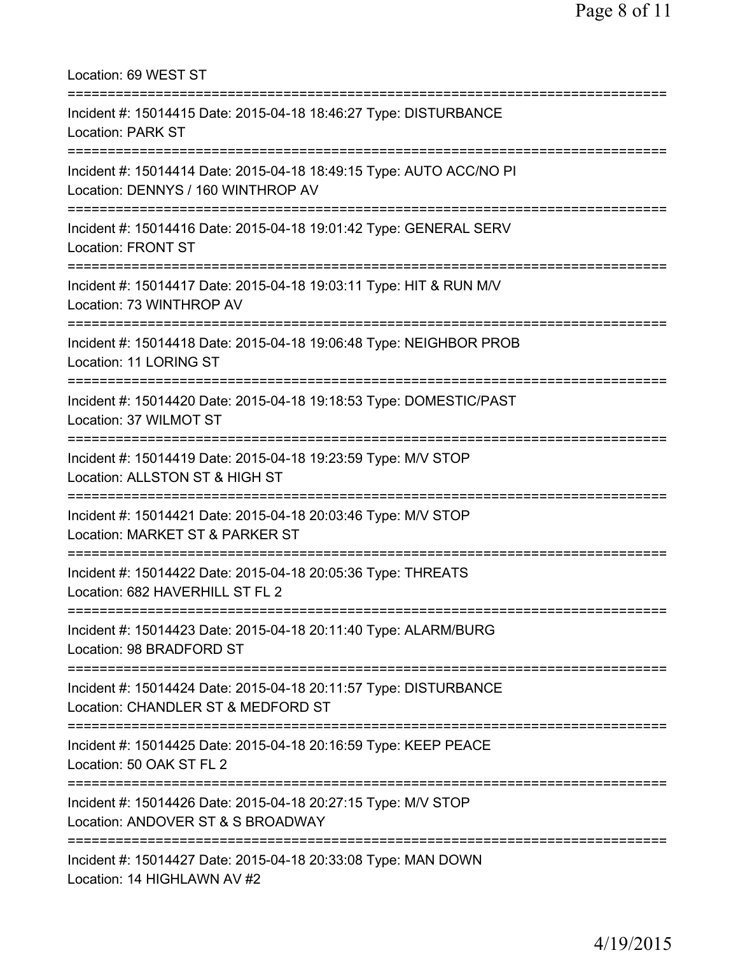| Location: 69 WEST ST                                                                                                                              |
|---------------------------------------------------------------------------------------------------------------------------------------------------|
| Incident #: 15014415 Date: 2015-04-18 18:46:27 Type: DISTURBANCE<br><b>Location: PARK ST</b>                                                      |
| Incident #: 15014414 Date: 2015-04-18 18:49:15 Type: AUTO ACC/NO PI<br>Location: DENNYS / 160 WINTHROP AV<br>==================================== |
| Incident #: 15014416 Date: 2015-04-18 19:01:42 Type: GENERAL SERV<br><b>Location: FRONT ST</b><br>================================                |
| Incident #: 15014417 Date: 2015-04-18 19:03:11 Type: HIT & RUN M/V<br>Location: 73 WINTHROP AV<br>=====================================           |
| Incident #: 15014418 Date: 2015-04-18 19:06:48 Type: NEIGHBOR PROB<br><b>Location: 11 LORING ST</b>                                               |
| Incident #: 15014420 Date: 2015-04-18 19:18:53 Type: DOMESTIC/PAST<br>Location: 37 WILMOT ST                                                      |
| Incident #: 15014419 Date: 2015-04-18 19:23:59 Type: M/V STOP<br>Location: ALLSTON ST & HIGH ST                                                   |
| Incident #: 15014421 Date: 2015-04-18 20:03:46 Type: M/V STOP<br>Location: MARKET ST & PARKER ST                                                  |
| Incident #: 15014422 Date: 2015-04-18 20:05:36 Type: THREATS<br>Location: 682 HAVERHILL ST FL 2                                                   |
| .==============================<br>Incident #: 15014423 Date: 2015-04-18 20:11:40 Type: ALARM/BURG<br>Location: 98 BRADFORD ST                    |
| Incident #: 15014424 Date: 2015-04-18 20:11:57 Type: DISTURBANCE<br>Location: CHANDLER ST & MEDFORD ST                                            |
| Incident #: 15014425 Date: 2015-04-18 20:16:59 Type: KEEP PEACE<br>Location: 50 OAK ST FL 2                                                       |
| ----------------------<br>Incident #: 15014426 Date: 2015-04-18 20:27:15 Type: M/V STOP<br>Location: ANDOVER ST & S BROADWAY                      |
| Incident #: 15014427 Date: 2015-04-18 20:33:08 Type: MAN DOWN<br>Location: 14 HIGHLAWN AV #2                                                      |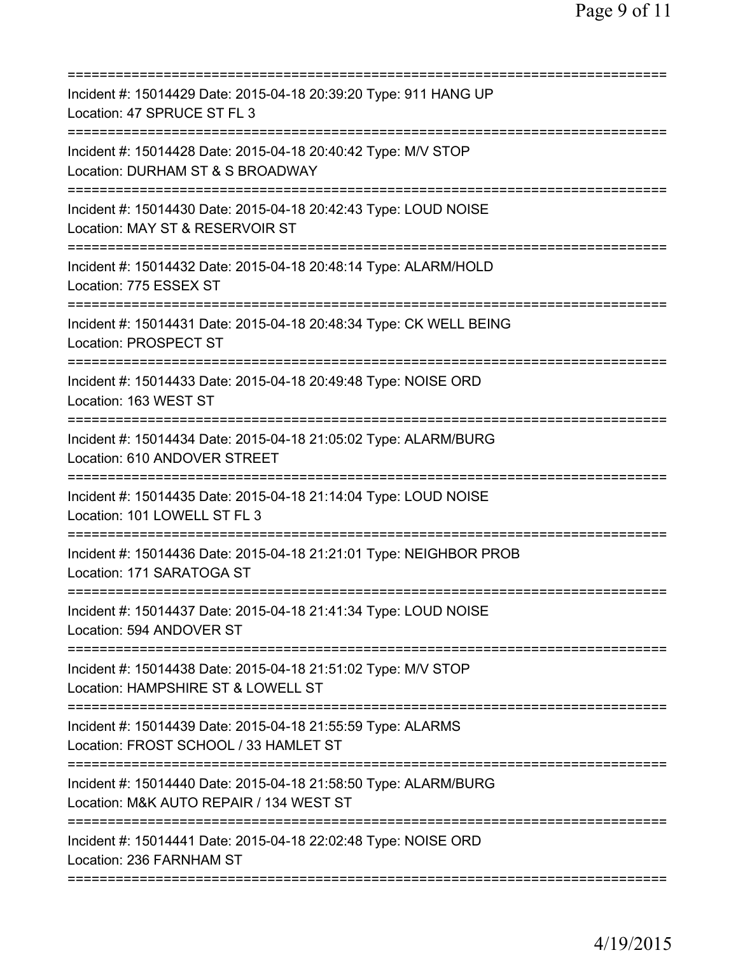| ==========================                                                                                 |
|------------------------------------------------------------------------------------------------------------|
| Incident #: 15014429 Date: 2015-04-18 20:39:20 Type: 911 HANG UP<br>Location: 47 SPRUCE ST FL 3            |
| Incident #: 15014428 Date: 2015-04-18 20:40:42 Type: M/V STOP<br>Location: DURHAM ST & S BROADWAY          |
| Incident #: 15014430 Date: 2015-04-18 20:42:43 Type: LOUD NOISE<br>Location: MAY ST & RESERVOIR ST         |
| Incident #: 15014432 Date: 2015-04-18 20:48:14 Type: ALARM/HOLD<br>Location: 775 ESSEX ST                  |
| Incident #: 15014431 Date: 2015-04-18 20:48:34 Type: CK WELL BEING<br>Location: PROSPECT ST                |
| Incident #: 15014433 Date: 2015-04-18 20:49:48 Type: NOISE ORD<br>Location: 163 WEST ST                    |
| Incident #: 15014434 Date: 2015-04-18 21:05:02 Type: ALARM/BURG<br>Location: 610 ANDOVER STREET            |
| Incident #: 15014435 Date: 2015-04-18 21:14:04 Type: LOUD NOISE<br>Location: 101 LOWELL ST FL 3            |
| Incident #: 15014436 Date: 2015-04-18 21:21:01 Type: NEIGHBOR PROB<br>Location: 171 SARATOGA ST            |
| Incident #: 15014437 Date: 2015-04-18 21:41:34 Type: LOUD NOISE<br>Location: 594 ANDOVER ST                |
| Incident #: 15014438 Date: 2015-04-18 21:51:02 Type: M/V STOP<br>Location: HAMPSHIRE ST & LOWELL ST        |
| Incident #: 15014439 Date: 2015-04-18 21:55:59 Type: ALARMS<br>Location: FROST SCHOOL / 33 HAMLET ST       |
| Incident #: 15014440 Date: 2015-04-18 21:58:50 Type: ALARM/BURG<br>Location: M&K AUTO REPAIR / 134 WEST ST |
| Incident #: 15014441 Date: 2015-04-18 22:02:48 Type: NOISE ORD<br>Location: 236 FARNHAM ST                 |
|                                                                                                            |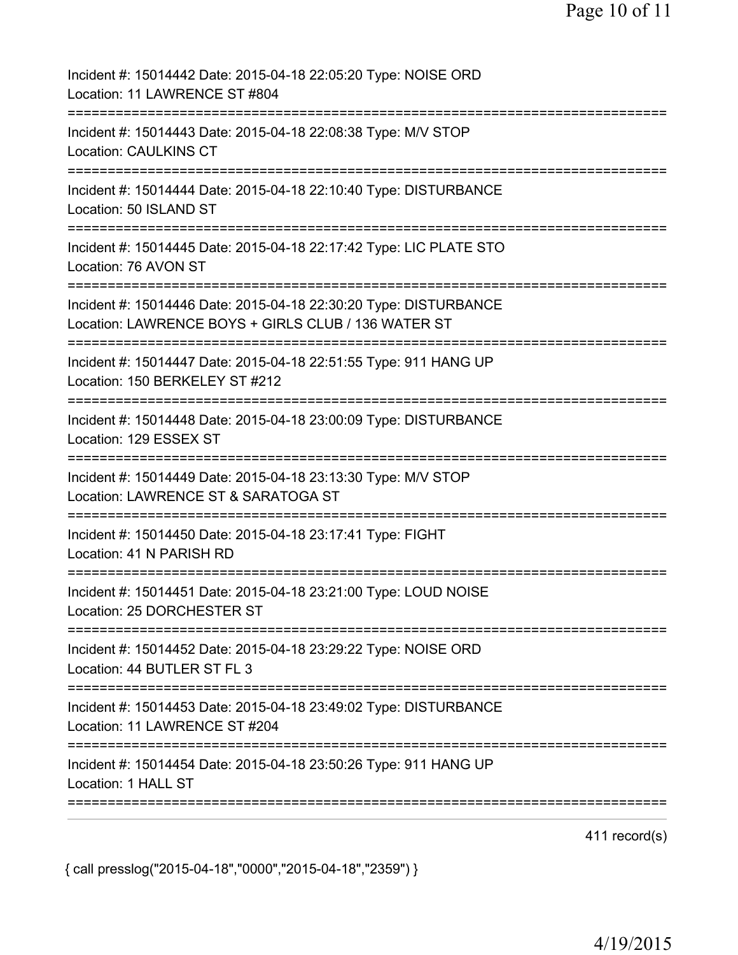| Incident #: 15014442 Date: 2015-04-18 22:05:20 Type: NOISE ORD<br>Location: 11 LAWRENCE ST #804<br>:======================= |
|-----------------------------------------------------------------------------------------------------------------------------|
| Incident #: 15014443 Date: 2015-04-18 22:08:38 Type: M/V STOP<br><b>Location: CAULKINS CT</b><br>:========================= |
| Incident #: 15014444 Date: 2015-04-18 22:10:40 Type: DISTURBANCE<br>Location: 50 ISLAND ST                                  |
| Incident #: 15014445 Date: 2015-04-18 22:17:42 Type: LIC PLATE STO<br>Location: 76 AVON ST                                  |
| Incident #: 15014446 Date: 2015-04-18 22:30:20 Type: DISTURBANCE<br>Location: LAWRENCE BOYS + GIRLS CLUB / 136 WATER ST     |
| Incident #: 15014447 Date: 2015-04-18 22:51:55 Type: 911 HANG UP<br>Location: 150 BERKELEY ST #212                          |
| Incident #: 15014448 Date: 2015-04-18 23:00:09 Type: DISTURBANCE<br>Location: 129 ESSEX ST                                  |
| Incident #: 15014449 Date: 2015-04-18 23:13:30 Type: M/V STOP<br>Location: LAWRENCE ST & SARATOGA ST                        |
| Incident #: 15014450 Date: 2015-04-18 23:17:41 Type: FIGHT<br>Location: 41 N PARISH RD                                      |
| Incident #: 15014451 Date: 2015-04-18 23:21:00 Type: LOUD NOISE<br>Location: 25 DORCHESTER ST                               |
| Incident #: 15014452 Date: 2015-04-18 23:29:22 Type: NOISE ORD<br>Location: 44 BUTLER ST FL 3                               |
| Incident #: 15014453 Date: 2015-04-18 23:49:02 Type: DISTURBANCE<br>Location: 11 LAWRENCE ST #204                           |
| Incident #: 15014454 Date: 2015-04-18 23:50:26 Type: 911 HANG UP<br>Location: 1 HALL ST                                     |

411 record(s)

{ call presslog("2015-04-18","0000","2015-04-18","2359") }